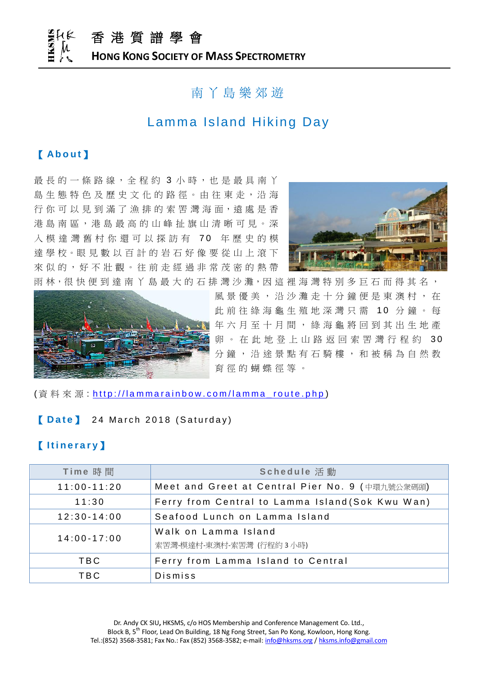香 港 質 譜 學 會 **HONG KONG SOCIETY OF MASS SPECTROMETRY**

## 南 丫 島 樂 郊 遊

## Lamma Island Hiking Day

## 【 **Ab o u t** 】

最 長 的 一 條 路 線, 全 程 約 3 小 時, 也 是 最 具 南 丫 島 生 態 特 色 及 歷 史 文 化 的 路 徑 。由 往 東 走 , 沿 海 行你可以見到滿了漁排的索罟灣海面,遠處是香 港 島 南 區 , 港 島 最 高 的 山 峰 扯 旗 山 清 晰 可 見 。 深 入 模 達 灣 舊 村 你 還 可 以 探 訪 有 70 年 歷 史 的 模 達 學 校 。眼 見 數 以 百 計 的 岩 石 好 像 要 從 山 上 滾 下 來 似 的, 好 不 壯 觀 。 往 前 走 經 過 非 常 茂 密 的 熱 帶





雨林,很快便到達南丫島最大的石排灣沙灘,因這裡海灣特別多巨石而得其名, 風 景 優 美 , 沿 沙 灘 走 十 分 鐘 便 是 東 澳 村 , 在 此 前 往 綠 海 龜 生 殖 地 深 灣 只 需 10 分 鐘 。 每 年 六 月 至 十 月 間 , 綠 海 龜 將 回 到 其 出 生 地 產 卵。在此地登上山路返回索罟灣行程約 30 分 鐘 , 沿 途 景 點 有 石 騎 樓 , 和 被 稱 為 自 然 教 育 徑 的 蝴 蝶 徑 等 。

(資料來源: http://lammarainbow.com/lamma\_route.php)

#### **[Date]** 24 March 2018 (Saturday)

### 【 **I t i n e r a r y**】

| Time 時間         | Schedule 活動                                      |
|-----------------|--------------------------------------------------|
| $11:00 - 11:20$ | Meet and Greet at Central Pier No. 9 (中環九號公衆碼頭)  |
| 11:30           | Ferry from Central to Lamma Island (Sok Kwu Wan) |
| $12:30 - 14:00$ | Seafood Lunch on Lamma Island                    |
| $14:00 - 17:00$ | Walk on Lamma Island<br>索罟灣-模達村-東澳村-索罟灣 (行程約3小時) |
| <b>TBC</b>      | Ferry from Lamma Island to Central               |
| <b>TBC</b>      | Dismiss                                          |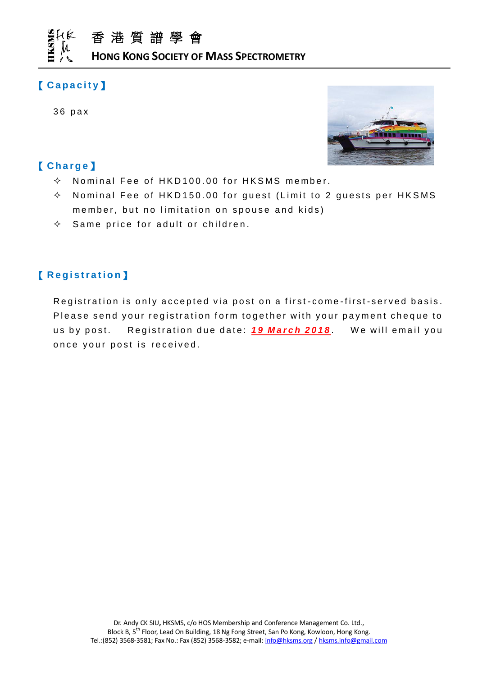

**HONG KONG SOCIETY OF MASS SPECTROMETRY**

## 【 **C a p a c i t y**】

3 6 pax

## 【 **C h a r g e** 】

- $\Diamond$  Nominal Fee of HKD 100.00 for HKSMS member.
- $\Diamond$  Nominal Fee of HKD150.00 for guest (Limit to 2 guests per HKSMS member, but no limitation on spouse and kids)
- $\Diamond$  Same price for adult or children.

## 【 **R e g i s t r a t i o n**】

Registration is only accepted via post on a first-come-first-served basis. Please send your registration form together with your payment cheque to us by post. Registration due date: **19 March 2018**. We will email you once your post is received.